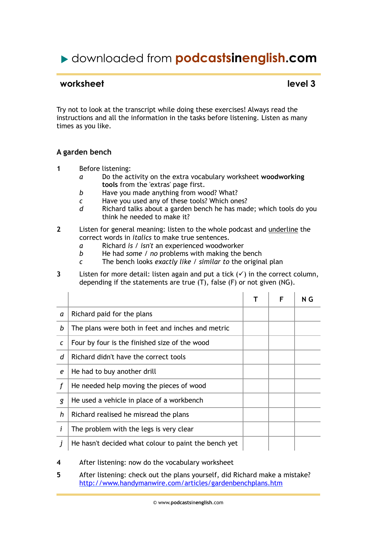# downloaded from **podcastsinenglish.com**

## **worksheet** level 3

Try not to look at the transcript while doing these exercises! Always read the instructions and all the information in the tasks before listening. Listen as many times as you like.

### **A garden bench**

- **1** Before listening:
	- *a* Do the activity on the extra vocabulary worksheet **woodworking tools** from the 'extras' page first.
	- *b* Have you made anything from wood? What?
	- *c* Have you used any of these tools? Which ones?
	- *d* Richard talks about a garden bench he has made; which tools do you think he needed to make it?
- **2** Listen for general meaning: listen to the whole podcast and underline the correct words in *italics* to make true sentences.
	- *a* Richard *is / isn't* an experienced woodworker
	- *b* He had *some / no* problems with making the bench
	- *c* The bench looks *exactly like / similar to* the original plan
- **3** Listen for more detail: listen again and put a tick  $(v)$  in the correct column, depending if the statements are true (T), false (F) or not given (NG).

|   |                                                      | F | N G |
|---|------------------------------------------------------|---|-----|
| a | Richard paid for the plans                           |   |     |
| b | The plans were both in feet and inches and metric    |   |     |
| C | Four by four is the finished size of the wood        |   |     |
| d | Richard didn't have the correct tools                |   |     |
| e | He had to buy another drill                          |   |     |
|   | He needed help moving the pieces of wood             |   |     |
| g | He used a vehicle in place of a workbench            |   |     |
| h | Richard realised he misread the plans                |   |     |
| i | The problem with the legs is very clear              |   |     |
|   | He hasn't decided what colour to paint the bench yet |   |     |

- **4** After listening: now do the vocabulary worksheet
- **5** After listening: check out the plans yourself, did Richard make a mistake? http://www.handymanwire.com/articles/gardenbenchplans.htm